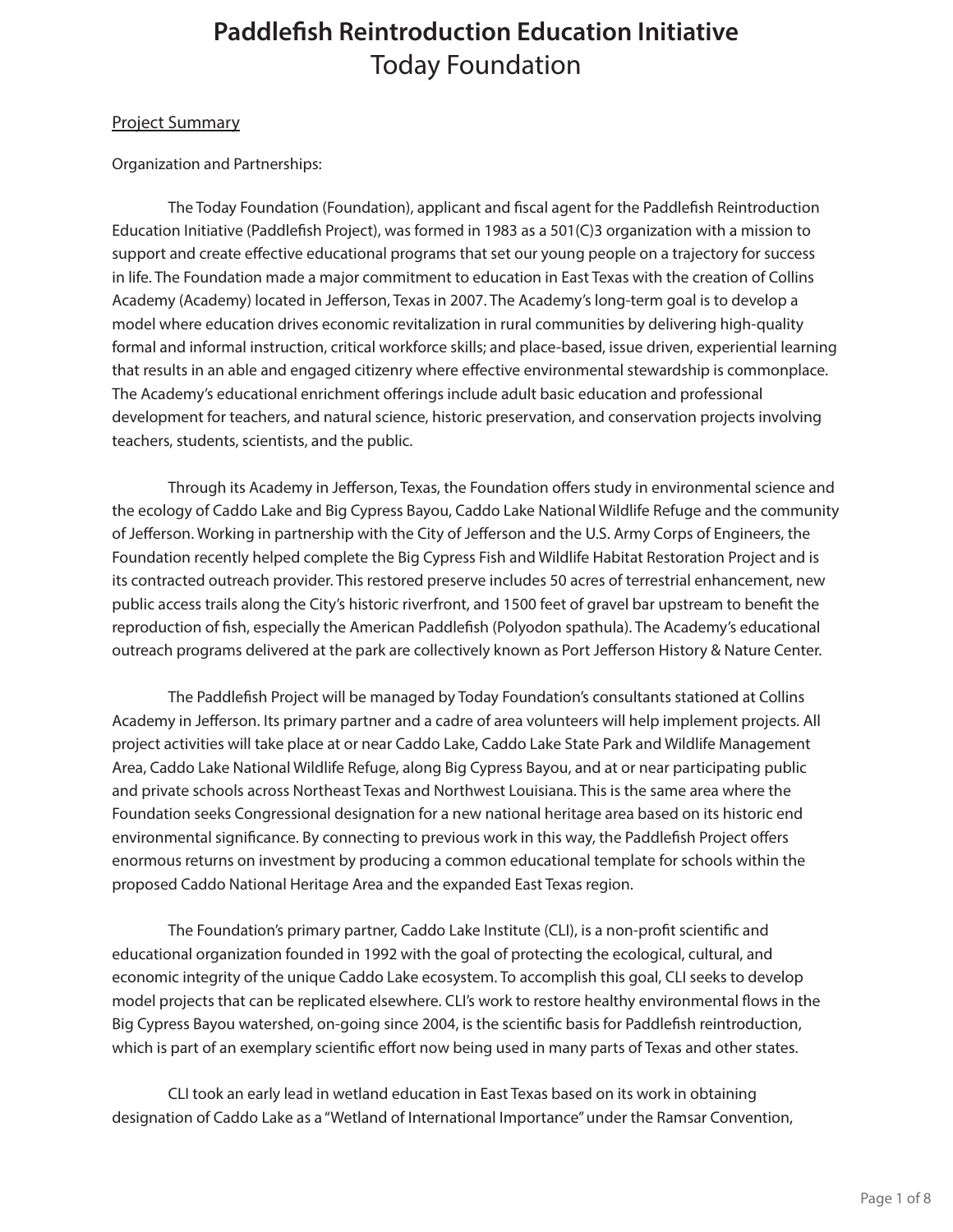## Project Summary

## Organization and Partnerships:

The Today Foundation (Foundation), applicant and fiscal agent for the Paddlefish Reintroduction Education Initiative (Paddlefish Project), was formed in 1983 as a 501(C)3 organization with a mission to support and create effective educational programs that set our young people on a trajectory for success in life. The Foundation made a major commitment to education in East Texas with the creation of Collins Academy (Academy) located in Jefferson, Texas in 2007. The Academy's long-term goal is to develop a model where education drives economic revitalization in rural communities by delivering high-quality formal and informal instruction, critical workforce skills; and place-based, issue driven, experiential learning that results in an able and engaged citizenry where effective environmental stewardship is commonplace. The Academy's educational enrichment offerings include adult basic education and professional development for teachers, and natural science, historic preservation, and conservation projects involving teachers, students, scientists, and the public.

Through its Academy in Jefferson, Texas, the Foundation offers study in environmental science and the ecology of Caddo Lake and Big Cypress Bayou, Caddo Lake National Wildlife Refuge and the community of Jefferson. Working in partnership with the City of Jefferson and the U.S. Army Corps of Engineers, the Foundation recently helped complete the Big Cypress Fish and Wildlife Habitat Restoration Project and is its contracted outreach provider. This restored preserve includes 50 acres of terrestrial enhancement, new public access trails along the City's historic riverfront, and 1500 feet of gravel bar upstream to benefit the reproduction of fish, especially the American Paddlefish (Polyodon spathula). The Academy's educational outreach programs delivered at the park are collectively known as Port Jefferson History & Nature Center.

The Paddlefish Project will be managed by Today Foundation's consultants stationed at Collins Academy in Jefferson. Its primary partner and a cadre of area volunteers will help implement projects. All project activities will take place at or near Caddo Lake, Caddo Lake State Park and Wildlife Management Area, Caddo Lake National Wildlife Refuge, along Big Cypress Bayou, and at or near participating public and private schools across Northeast Texas and Northwest Louisiana. This is the same area where the Foundation seeks Congressional designation for a new national heritage area based on its historic end environmental significance. By connecting to previous work in this way, the Paddlefish Project offers enormous returns on investment by producing a common educational template for schools within the proposed Caddo National Heritage Area and the expanded East Texas region.

The Foundation's primary partner, Caddo Lake Institute (CLI), is a non-profit scientific and educational organization founded in 1992 with the goal of protecting the ecological, cultural, and economic integrity of the unique Caddo Lake ecosystem. To accomplish this goal, CLI seeks to develop model projects that can be replicated elsewhere. CLI's work to restore healthy environmental flows in the Big Cypress Bayou watershed, on-going since 2004, is the scientific basis for Paddlefish reintroduction, which is part of an exemplary scientific effort now being used in many parts of Texas and other states.

CLI took an early lead in wetland education in East Texas based on its work in obtaining designation of Caddo Lake as a "Wetland of International Importance" under the Ramsar Convention,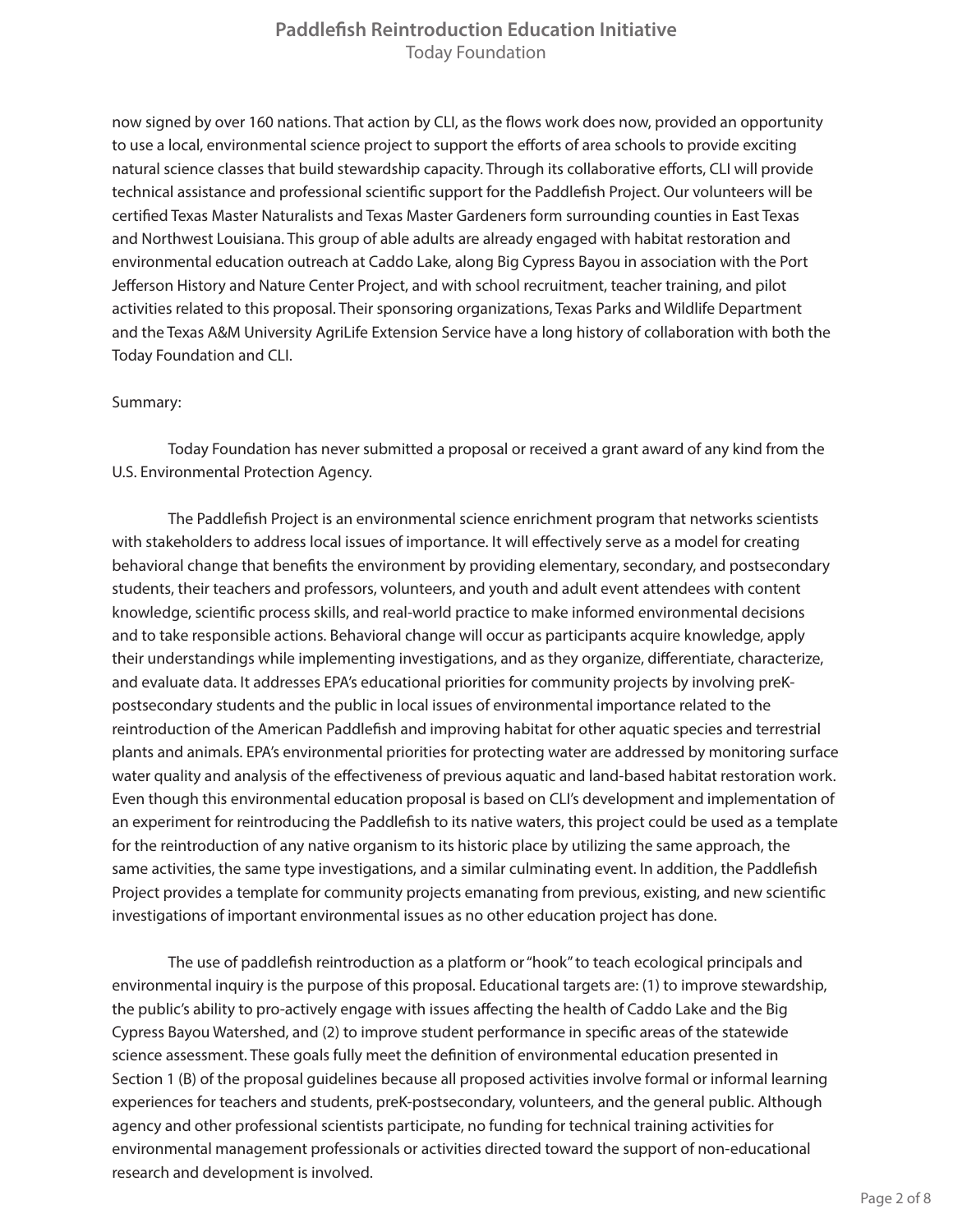now signed by over 160 nations. That action by CLI, as the flows work does now, provided an opportunity to use a local, environmental science project to support the efforts of area schools to provide exciting natural science classes that build stewardship capacity. Through its collaborative efforts, CLI will provide technical assistance and professional scientific support for the Paddlefish Project. Our volunteers will be certified Texas Master Naturalists and Texas Master Gardeners form surrounding counties in East Texas and Northwest Louisiana. This group of able adults are already engaged with habitat restoration and environmental education outreach at Caddo Lake, along Big Cypress Bayou in association with the Port Jefferson History and Nature Center Project, and with school recruitment, teacher training, and pilot activities related to this proposal. Their sponsoring organizations, Texas Parks and Wildlife Department and the Texas A&M University AgriLife Extension Service have a long history of collaboration with both the Today Foundation and CLI.

### Summary:

Today Foundation has never submitted a proposal or received a grant award of any kind from the U.S. Environmental Protection Agency.

The Paddlefish Project is an environmental science enrichment program that networks scientists with stakeholders to address local issues of importance. It will effectively serve as a model for creating behavioral change that benefits the environment by providing elementary, secondary, and postsecondary students, their teachers and professors, volunteers, and youth and adult event attendees with content knowledge, scientific process skills, and real-world practice to make informed environmental decisions and to take responsible actions. Behavioral change will occur as participants acquire knowledge, apply their understandings while implementing investigations, and as they organize, differentiate, characterize, and evaluate data. It addresses EPA's educational priorities for community projects by involving preKpostsecondary students and the public in local issues of environmental importance related to the reintroduction of the American Paddlefish and improving habitat for other aquatic species and terrestrial plants and animals. EPA's environmental priorities for protecting water are addressed by monitoring surface water quality and analysis of the effectiveness of previous aquatic and land-based habitat restoration work. Even though this environmental education proposal is based on CLI's development and implementation of an experiment for reintroducing the Paddlefish to its native waters, this project could be used as a template for the reintroduction of any native organism to its historic place by utilizing the same approach, the same activities, the same type investigations, and a similar culminating event. In addition, the Paddlefish Project provides a template for community projects emanating from previous, existing, and new scientific investigations of important environmental issues as no other education project has done.

The use of paddlefish reintroduction as a platform or "hook" to teach ecological principals and environmental inquiry is the purpose of this proposal. Educational targets are: (1) to improve stewardship, the public's ability to pro-actively engage with issues affecting the health of Caddo Lake and the Big Cypress Bayou Watershed, and (2) to improve student performance in specific areas of the statewide science assessment. These goals fully meet the definition of environmental education presented in Section 1 (B) of the proposal guidelines because all proposed activities involve formal or informal learning experiences for teachers and students, preK-postsecondary, volunteers, and the general public. Although agency and other professional scientists participate, no funding for technical training activities for environmental management professionals or activities directed toward the support of non-educational research and development is involved.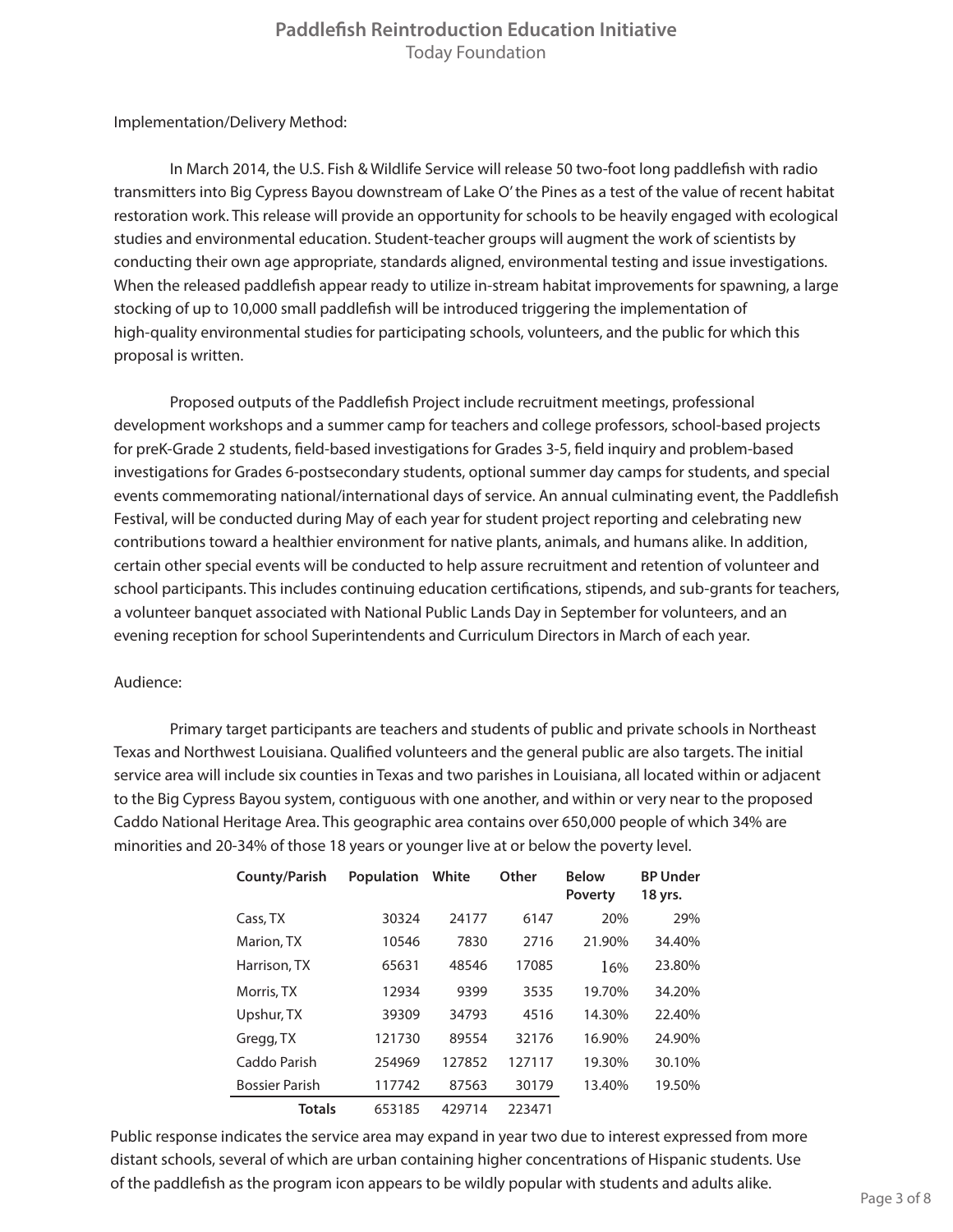Implementation/Delivery Method:

In March 2014, the U.S. Fish & Wildlife Service will release 50 two-foot long paddlefish with radio transmitters into Big Cypress Bayou downstream of Lake O' the Pines as a test of the value of recent habitat restoration work. This release will provide an opportunity for schools to be heavily engaged with ecological studies and environmental education. Student-teacher groups will augment the work of scientists by conducting their own age appropriate, standards aligned, environmental testing and issue investigations. When the released paddlefish appear ready to utilize in-stream habitat improvements for spawning, a large stocking of up to 10,000 small paddlefish will be introduced triggering the implementation of high-quality environmental studies for participating schools, volunteers, and the public for which this proposal is written.

Proposed outputs of the Paddlefish Project include recruitment meetings, professional development workshops and a summer camp for teachers and college professors, school-based projects for preK-Grade 2 students, field-based investigations for Grades 3-5, field inquiry and problem-based investigations for Grades 6-postsecondary students, optional summer day camps for students, and special events commemorating national/international days of service. An annual culminating event, the Paddlefish Festival, will be conducted during May of each year for student project reporting and celebrating new contributions toward a healthier environment for native plants, animals, and humans alike. In addition, certain other special events will be conducted to help assure recruitment and retention of volunteer and school participants. This includes continuing education certifications, stipends, and sub-grants for teachers, a volunteer banquet associated with National Public Lands Day in September for volunteers, and an evening reception for school Superintendents and Curriculum Directors in March of each year.

### Audience:

Primary target participants are teachers and students of public and private schools in Northeast Texas and Northwest Louisiana. Qualified volunteers and the general public are also targets. The initial service area will include six counties in Texas and two parishes in Louisiana, all located within or adjacent to the Big Cypress Bayou system, contiguous with one another, and within or very near to the proposed Caddo National Heritage Area. This geographic area contains over 650,000 people of which 34% are minorities and 20-34% of those 18 years or younger live at or below the poverty level.

| <b>County/Parish</b>  | <b>Population</b> | White  | Other  | <b>Below</b><br><b>Poverty</b> | <b>BP Under</b><br>18 yrs. |
|-----------------------|-------------------|--------|--------|--------------------------------|----------------------------|
| Cass, TX              | 30324             | 24177  | 6147   | 20%                            | 29%                        |
| Marion, TX            | 10546             | 7830   | 2716   | 21.90%                         | 34.40%                     |
| Harrison, TX          | 65631             | 48546  | 17085  | 16%                            | 23.80%                     |
| Morris, TX            | 12934             | 9399   | 3535   | 19.70%                         | 34.20%                     |
| Upshur, TX            | 39309             | 34793  | 4516   | 14.30%                         | 22.40%                     |
| Gregg, TX             | 121730            | 89554  | 32176  | 16.90%                         | 24.90%                     |
| Caddo Parish          | 254969            | 127852 | 127117 | 19.30%                         | 30.10%                     |
| <b>Bossier Parish</b> | 117742            | 87563  | 30179  | 13.40%                         | 19.50%                     |
| <b>Totals</b>         | 653185            | 429714 | 223471 |                                |                            |

Public response indicates the service area may expand in year two due to interest expressed from more distant schools, several of which are urban containing higher concentrations of Hispanic students. Use of the paddlefish as the program icon appears to be wildly popular with students and adults alike.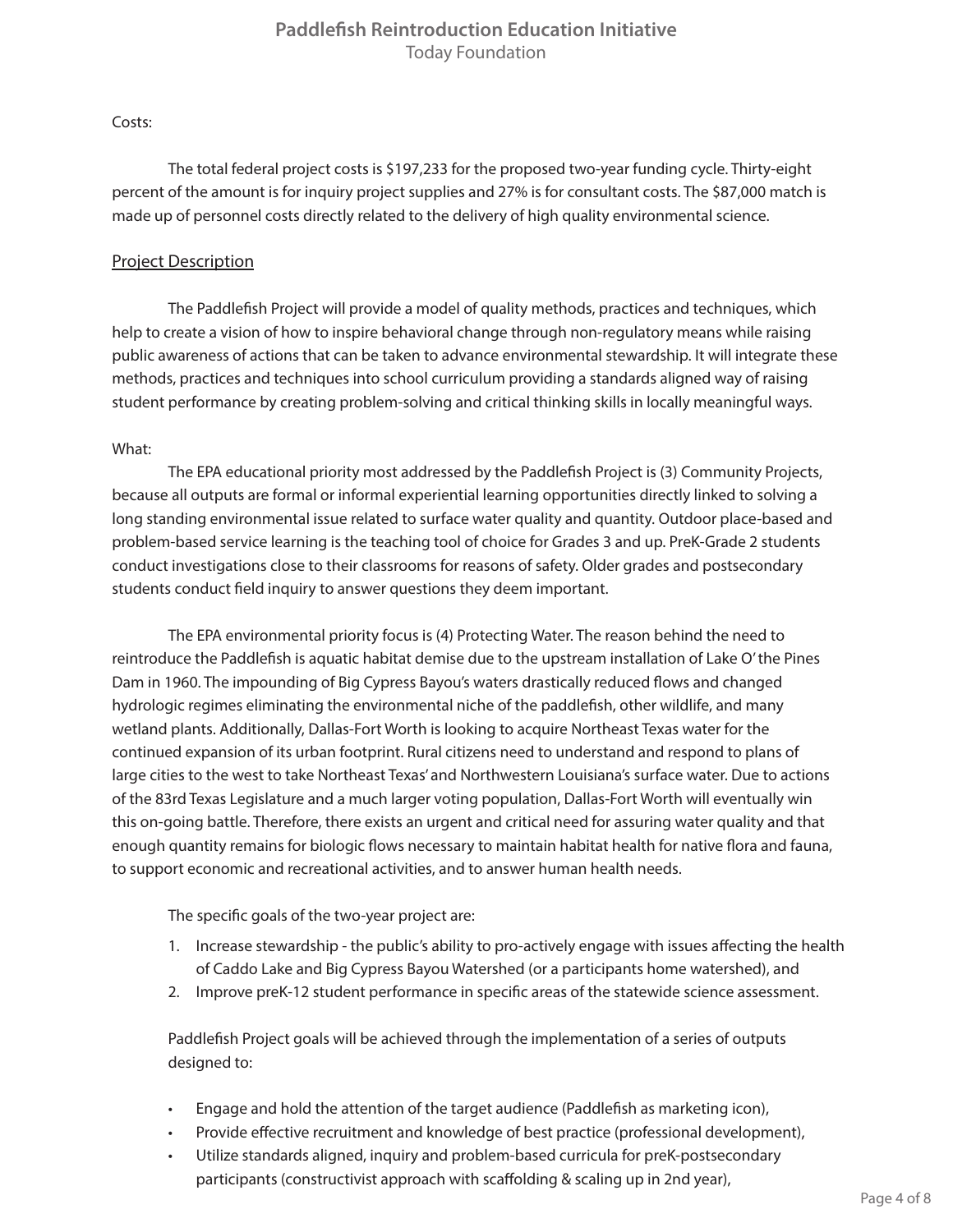Costs:

The total federal project costs is \$197,233 for the proposed two-year funding cycle. Thirty-eight percent of the amount is for inquiry project supplies and 27% is for consultant costs. The \$87,000 match is made up of personnel costs directly related to the delivery of high quality environmental science.

## Project Description

The Paddlefish Project will provide a model of quality methods, practices and techniques, which help to create a vision of how to inspire behavioral change through non-regulatory means while raising public awareness of actions that can be taken to advance environmental stewardship. It will integrate these methods, practices and techniques into school curriculum providing a standards aligned way of raising student performance by creating problem-solving and critical thinking skills in locally meaningful ways.

## What:

The EPA educational priority most addressed by the Paddlefish Project is (3) Community Projects, because all outputs are formal or informal experiential learning opportunities directly linked to solving a long standing environmental issue related to surface water quality and quantity. Outdoor place-based and problem-based service learning is the teaching tool of choice for Grades 3 and up. PreK-Grade 2 students conduct investigations close to their classrooms for reasons of safety. Older grades and postsecondary students conduct field inquiry to answer questions they deem important.

The EPA environmental priority focus is (4) Protecting Water. The reason behind the need to reintroduce the Paddlefish is aquatic habitat demise due to the upstream installation of Lake O' the Pines Dam in 1960. The impounding of Big Cypress Bayou's waters drastically reduced flows and changed hydrologic regimes eliminating the environmental niche of the paddlefish, other wildlife, and many wetland plants. Additionally, Dallas-Fort Worth is looking to acquire Northeast Texas water for the continued expansion of its urban footprint. Rural citizens need to understand and respond to plans of large cities to the west to take Northeast Texas' and Northwestern Louisiana's surface water. Due to actions of the 83rd Texas Legislature and a much larger voting population, Dallas-Fort Worth will eventually win this on-going battle. Therefore, there exists an urgent and critical need for assuring water quality and that enough quantity remains for biologic flows necessary to maintain habitat health for native flora and fauna, to support economic and recreational activities, and to answer human health needs.

The specific goals of the two-year project are:

- 1. Increase stewardship the public's ability to pro-actively engage with issues affecting the health of Caddo Lake and Big Cypress Bayou Watershed (or a participants home watershed), and
- 2. Improve preK-12 student performance in specific areas of the statewide science assessment.

Paddlefish Project goals will be achieved through the implementation of a series of outputs designed to:

- Engage and hold the attention of the target audience (Paddlefish as marketing icon),
- Provide effective recruitment and knowledge of best practice (professional development),
- Utilize standards aligned, inquiry and problem-based curricula for preK-postsecondary participants (constructivist approach with scaffolding & scaling up in 2nd year),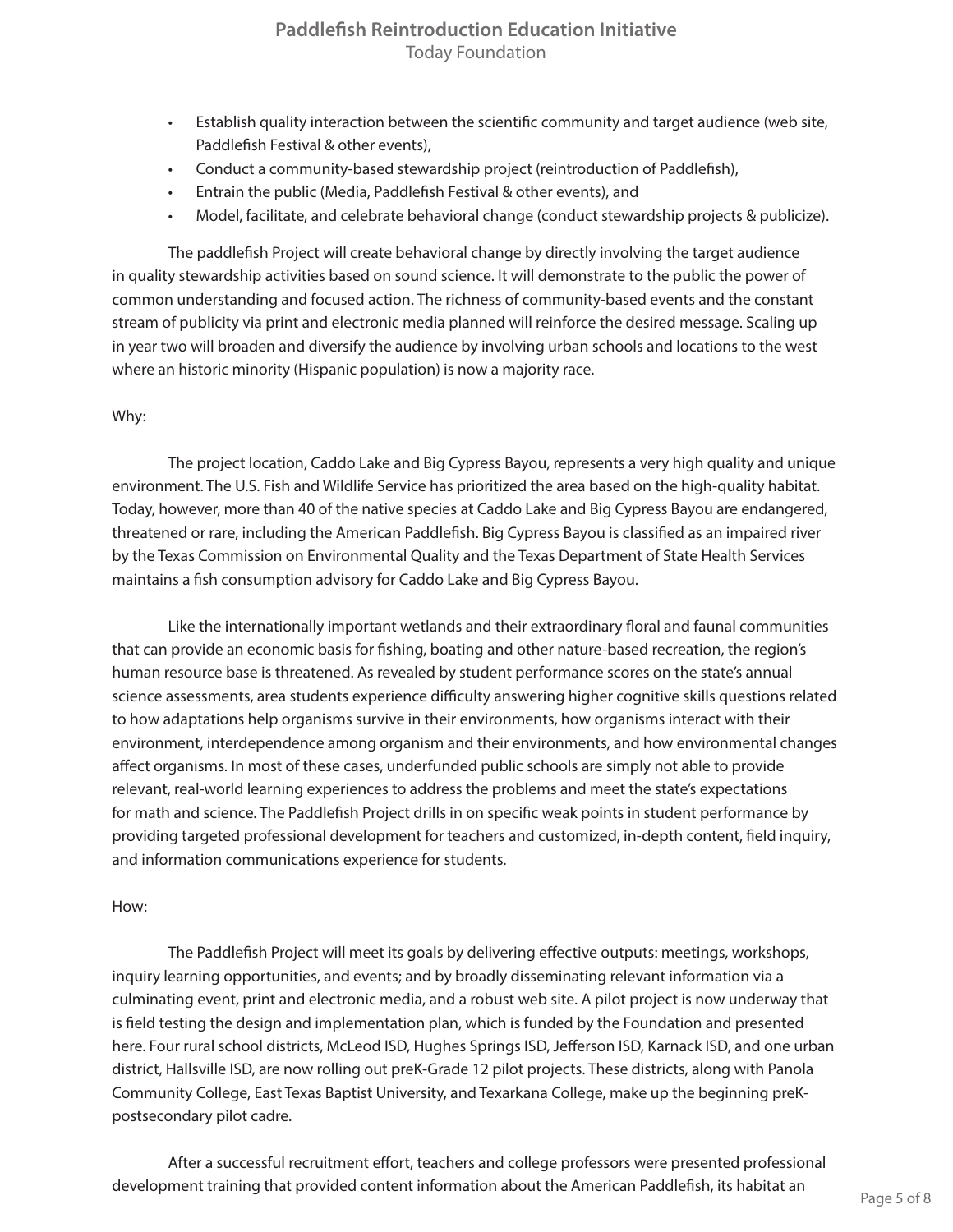- Establish quality interaction between the scientific community and target audience (web site, Paddlefish Festival & other events),
- Conduct a community-based stewardship project (reintroduction of Paddlefish),
- Entrain the public (Media, Paddlefish Festival & other events), and
- Model, facilitate, and celebrate behavioral change (conduct stewardship projects & publicize).

The paddlefish Project will create behavioral change by directly involving the target audience in quality stewardship activities based on sound science. It will demonstrate to the public the power of common understanding and focused action. The richness of community-based events and the constant stream of publicity via print and electronic media planned will reinforce the desired message. Scaling up in year two will broaden and diversify the audience by involving urban schools and locations to the west where an historic minority (Hispanic population) is now a majority race.

### Why:

The project location, Caddo Lake and Big Cypress Bayou, represents a very high quality and unique environment. The U.S. Fish and Wildlife Service has prioritized the area based on the high-quality habitat. Today, however, more than 40 of the native species at Caddo Lake and Big Cypress Bayou are endangered, threatened or rare, including the American Paddlefish. Big Cypress Bayou is classified as an impaired river by the Texas Commission on Environmental Quality and the Texas Department of State Health Services maintains a fish consumption advisory for Caddo Lake and Big Cypress Bayou.

Like the internationally important wetlands and their extraordinary floral and faunal communities that can provide an economic basis for fishing, boating and other nature-based recreation, the region's human resource base is threatened. As revealed by student performance scores on the state's annual science assessments, area students experience difficulty answering higher cognitive skills questions related to how adaptations help organisms survive in their environments, how organisms interact with their environment, interdependence among organism and their environments, and how environmental changes affect organisms. In most of these cases, underfunded public schools are simply not able to provide relevant, real-world learning experiences to address the problems and meet the state's expectations for math and science. The Paddlefish Project drills in on specific weak points in student performance by providing targeted professional development for teachers and customized, in-depth content, field inquiry, and information communications experience for students.

### How:

The Paddlefish Project will meet its goals by delivering effective outputs: meetings, workshops, inquiry learning opportunities, and events; and by broadly disseminating relevant information via a culminating event, print and electronic media, and a robust web site. A pilot project is now underway that is field testing the design and implementation plan, which is funded by the Foundation and presented here. Four rural school districts, McLeod ISD, Hughes Springs ISD, Jefferson ISD, Karnack ISD, and one urban district, Hallsville ISD, are now rolling out preK-Grade 12 pilot projects. These districts, along with Panola Community College, East Texas Baptist University, and Texarkana College, make up the beginning preKpostsecondary pilot cadre.

After a successful recruitment effort, teachers and college professors were presented professional development training that provided content information about the American Paddlefish, its habitat an Page 5 of 8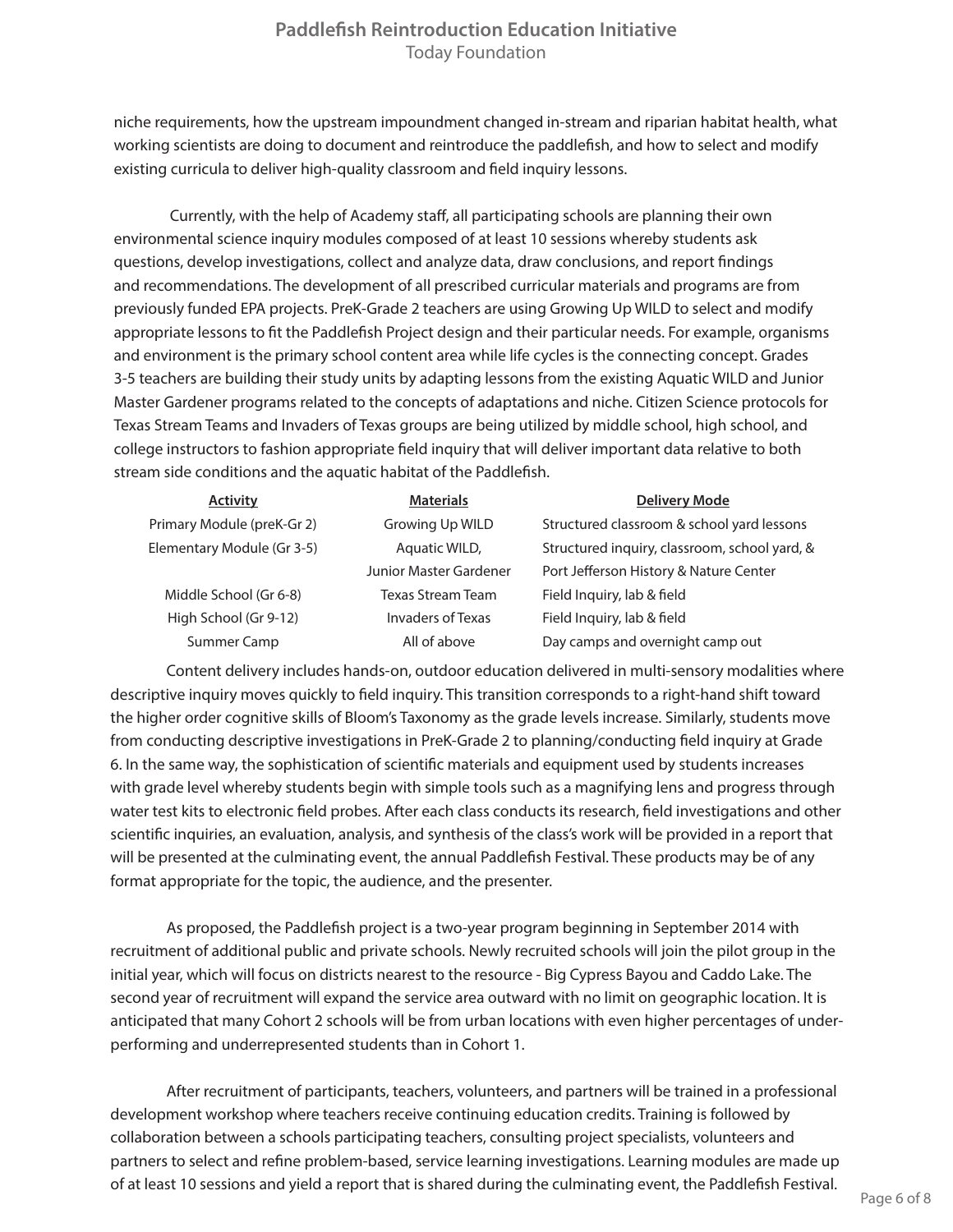niche requirements, how the upstream impoundment changed in-stream and riparian habitat health, what working scientists are doing to document and reintroduce the paddlefish, and how to select and modify existing curricula to deliver high-quality classroom and field inquiry lessons.

Currently, with the help of Academy staff, all participating schools are planning their own environmental science inquiry modules composed of at least 10 sessions whereby students ask questions, develop investigations, collect and analyze data, draw conclusions, and report findings and recommendations. The development of all prescribed curricular materials and programs are from previously funded EPA projects. PreK-Grade 2 teachers are using Growing Up WILD to select and modify appropriate lessons to fit the Paddlefish Project design and their particular needs. For example, organisms and environment is the primary school content area while life cycles is the connecting concept. Grades 3-5 teachers are building their study units by adapting lessons from the existing Aquatic WILD and Junior Master Gardener programs related to the concepts of adaptations and niche. Citizen Science protocols for Texas Stream Teams and Invaders of Texas groups are being utilized by middle school, high school, and college instructors to fashion appropriate field inquiry that will deliver important data relative to both stream side conditions and the aquatic habitat of the Paddlefish.

| <b>Activity</b>            | <b>Materials</b>       | <b>Delivery Mode</b>                          |
|----------------------------|------------------------|-----------------------------------------------|
| Primary Module (preK-Gr 2) | Growing Up WILD        | Structured classroom & school yard lessons    |
| Elementary Module (Gr 3-5) | Aquatic WILD,          | Structured inquiry, classroom, school yard, & |
|                            | Junior Master Gardener | Port Jefferson History & Nature Center        |
| Middle School (Gr 6-8)     | Texas Stream Team      | Field Inquiry, lab & field                    |
| High School (Gr 9-12)      | Invaders of Texas      | Field Inquiry, lab & field                    |
| Summer Camp                | All of above           | Day camps and overnight camp out              |

Content delivery includes hands-on, outdoor education delivered in multi-sensory modalities where descriptive inquiry moves quickly to field inquiry. This transition corresponds to a right-hand shift toward the higher order cognitive skills of Bloom's Taxonomy as the grade levels increase. Similarly, students move from conducting descriptive investigations in PreK-Grade 2 to planning/conducting field inquiry at Grade 6. In the same way, the sophistication of scientific materials and equipment used by students increases with grade level whereby students begin with simple tools such as a magnifying lens and progress through water test kits to electronic field probes. After each class conducts its research, field investigations and other scientific inquiries, an evaluation, analysis, and synthesis of the class's work will be provided in a report that will be presented at the culminating event, the annual Paddlefish Festival. These products may be of any format appropriate for the topic, the audience, and the presenter.

As proposed, the Paddlefish project is a two-year program beginning in September 2014 with recruitment of additional public and private schools. Newly recruited schools will join the pilot group in the initial year, which will focus on districts nearest to the resource - Big Cypress Bayou and Caddo Lake. The second year of recruitment will expand the service area outward with no limit on geographic location. It is anticipated that many Cohort 2 schools will be from urban locations with even higher percentages of underperforming and underrepresented students than in Cohort 1.

After recruitment of participants, teachers, volunteers, and partners will be trained in a professional development workshop where teachers receive continuing education credits. Training is followed by collaboration between a schools participating teachers, consulting project specialists, volunteers and partners to select and refine problem-based, service learning investigations. Learning modules are made up of at least 10 sessions and yield a report that is shared during the culminating event, the Paddlefish Festival.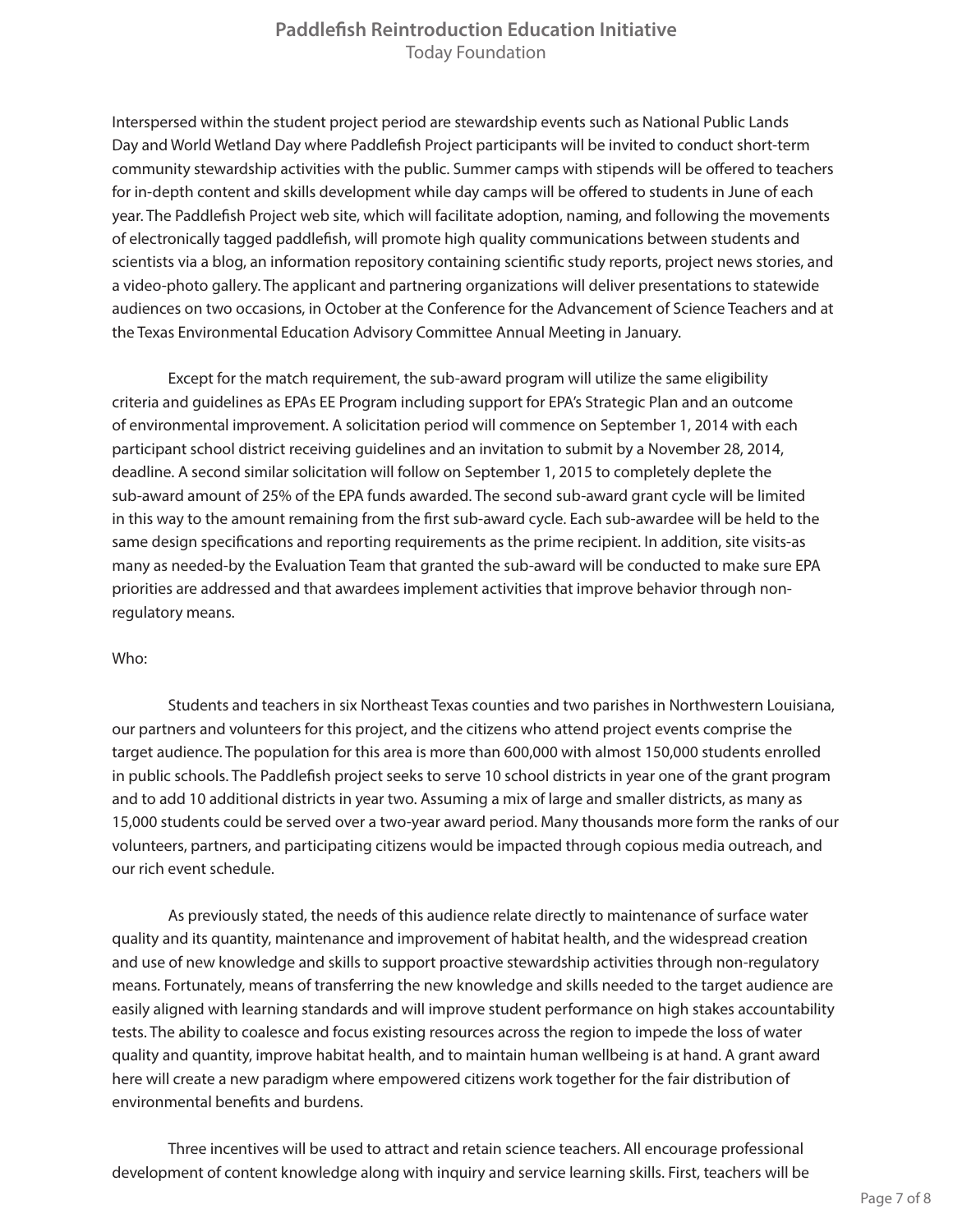Interspersed within the student project period are stewardship events such as National Public Lands Day and World Wetland Day where Paddlefish Project participants will be invited to conduct short-term community stewardship activities with the public. Summer camps with stipends will be offered to teachers for in-depth content and skills development while day camps will be offered to students in June of each year. The Paddlefish Project web site, which will facilitate adoption, naming, and following the movements of electronically tagged paddlefish, will promote high quality communications between students and scientists via a blog, an information repository containing scientific study reports, project news stories, and a video-photo gallery. The applicant and partnering organizations will deliver presentations to statewide audiences on two occasions, in October at the Conference for the Advancement of Science Teachers and at the Texas Environmental Education Advisory Committee Annual Meeting in January.

Except for the match requirement, the sub-award program will utilize the same eligibility criteria and guidelines as EPAs EE Program including support for EPA's Strategic Plan and an outcome of environmental improvement. A solicitation period will commence on September 1, 2014 with each participant school district receiving guidelines and an invitation to submit by a November 28, 2014, deadline. A second similar solicitation will follow on September 1, 2015 to completely deplete the sub-award amount of 25% of the EPA funds awarded. The second sub-award grant cycle will be limited in this way to the amount remaining from the first sub-award cycle. Each sub-awardee will be held to the same design specifications and reporting requirements as the prime recipient. In addition, site visits-as many as needed-by the Evaluation Team that granted the sub-award will be conducted to make sure EPA priorities are addressed and that awardees implement activities that improve behavior through nonregulatory means.

### Who:

Students and teachers in six Northeast Texas counties and two parishes in Northwestern Louisiana, our partners and volunteers for this project, and the citizens who attend project events comprise the target audience. The population for this area is more than 600,000 with almost 150,000 students enrolled in public schools. The Paddlefish project seeks to serve 10 school districts in year one of the grant program and to add 10 additional districts in year two. Assuming a mix of large and smaller districts, as many as 15,000 students could be served over a two-year award period. Many thousands more form the ranks of our volunteers, partners, and participating citizens would be impacted through copious media outreach, and our rich event schedule.

As previously stated, the needs of this audience relate directly to maintenance of surface water quality and its quantity, maintenance and improvement of habitat health, and the widespread creation and use of new knowledge and skills to support proactive stewardship activities through non-regulatory means. Fortunately, means of transferring the new knowledge and skills needed to the target audience are easily aligned with learning standards and will improve student performance on high stakes accountability tests. The ability to coalesce and focus existing resources across the region to impede the loss of water quality and quantity, improve habitat health, and to maintain human wellbeing is at hand. A grant award here will create a new paradigm where empowered citizens work together for the fair distribution of environmental benefits and burdens.

Three incentives will be used to attract and retain science teachers. All encourage professional development of content knowledge along with inquiry and service learning skills. First, teachers will be